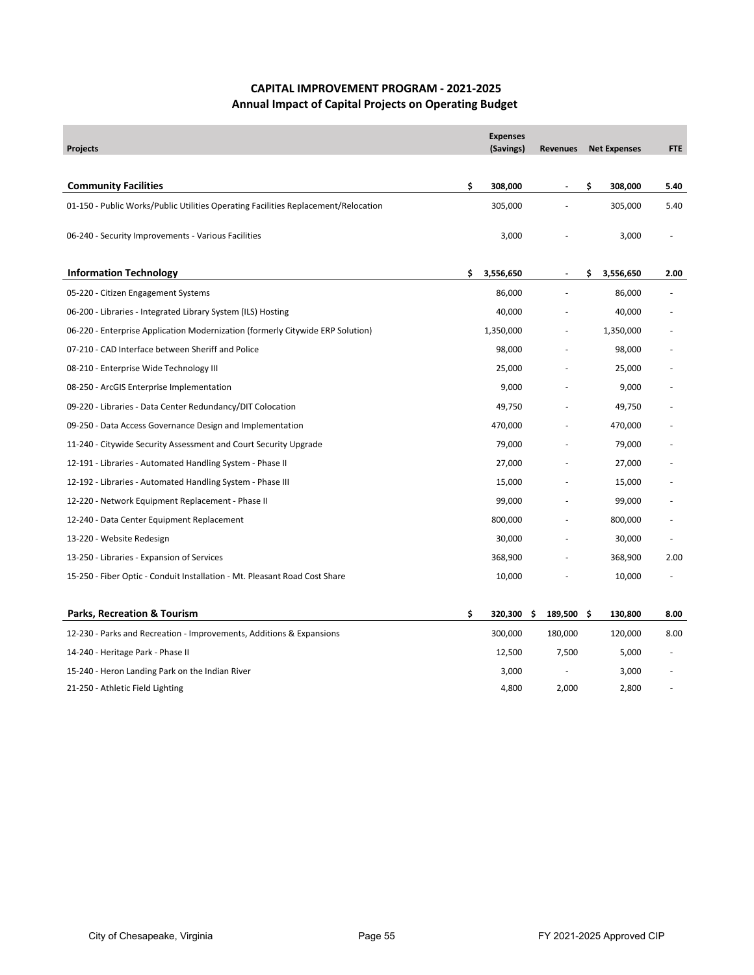## **CAPITAL IMPROVEMENT PROGRAM ‐ 2021‐2025 Annual Impact of Capital Projects on Operating Budget**

| <b>Projects</b>                                                                    | <b>Expenses</b><br>(Savings) |     | <b>Revenues</b> |     | <b>Net Expenses</b> | FTE  |
|------------------------------------------------------------------------------------|------------------------------|-----|-----------------|-----|---------------------|------|
| <b>Community Facilities</b>                                                        | \$<br>308,000                |     |                 | \$  | 308,000             | 5.40 |
| 01-150 - Public Works/Public Utilities Operating Facilities Replacement/Relocation | 305,000                      |     |                 |     | 305,000             | 5.40 |
| 06-240 - Security Improvements - Various Facilities                                | 3,000                        |     |                 |     | 3,000               |      |
| <b>Information Technology</b>                                                      | \$<br>3,556,650              |     |                 | \$  | 3,556,650           | 2.00 |
| 05-220 - Citizen Engagement Systems                                                | 86,000                       |     |                 |     | 86,000              |      |
| 06-200 - Libraries - Integrated Library System (ILS) Hosting                       | 40,000                       |     |                 |     | 40,000              |      |
| 06-220 - Enterprise Application Modernization (formerly Citywide ERP Solution)     | 1,350,000                    |     |                 |     | 1,350,000           |      |
| 07-210 - CAD Interface between Sheriff and Police                                  | 98,000                       |     |                 |     | 98,000              |      |
| 08-210 - Enterprise Wide Technology III                                            | 25,000                       |     |                 |     | 25,000              |      |
| 08-250 - ArcGIS Enterprise Implementation                                          | 9,000                        |     |                 |     | 9,000               |      |
| 09-220 - Libraries - Data Center Redundancy/DIT Colocation                         | 49,750                       |     |                 |     | 49,750              |      |
| 09-250 - Data Access Governance Design and Implementation                          | 470,000                      |     |                 |     | 470,000             |      |
| 11-240 - Citywide Security Assessment and Court Security Upgrade                   | 79,000                       |     |                 |     | 79,000              |      |
| 12-191 - Libraries - Automated Handling System - Phase II                          | 27,000                       |     |                 |     | 27,000              |      |
| 12-192 - Libraries - Automated Handling System - Phase III                         | 15,000                       |     |                 |     | 15,000              |      |
| 12-220 - Network Equipment Replacement - Phase II                                  | 99,000                       |     |                 |     | 99,000              |      |
| 12-240 - Data Center Equipment Replacement                                         | 800,000                      |     |                 |     | 800,000             |      |
| 13-220 - Website Redesign                                                          | 30,000                       |     |                 |     | 30,000              | ٠    |
| 13-250 - Libraries - Expansion of Services                                         | 368,900                      |     |                 |     | 368,900             | 2.00 |
| 15-250 - Fiber Optic - Conduit Installation - Mt. Pleasant Road Cost Share         | 10,000                       |     |                 |     | 10,000              |      |
|                                                                                    |                              |     |                 |     |                     |      |
| <b>Parks, Recreation &amp; Tourism</b>                                             | \$<br>320,300                | \$. | 189,500         | -\$ | 130,800             | 8.00 |
| 12-230 - Parks and Recreation - Improvements, Additions & Expansions               | 300,000                      |     | 180,000         |     | 120,000             | 8.00 |
| 14-240 - Heritage Park - Phase II                                                  | 12,500                       |     | 7,500           |     | 5,000               |      |
| 15-240 - Heron Landing Park on the Indian River                                    | 3,000                        |     |                 |     | 3,000               |      |
| 21-250 - Athletic Field Lighting                                                   | 4,800                        |     | 2,000           |     | 2,800               |      |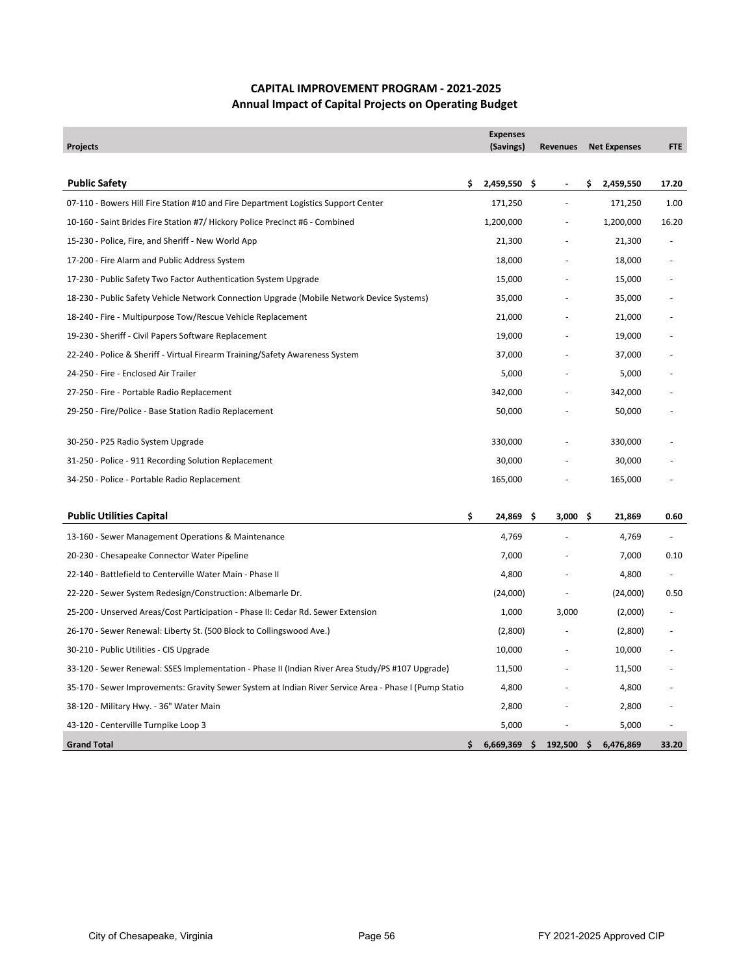## **CAPITAL IMPROVEMENT PROGRAM ‐ 2021‐2025 Annual Impact of Capital Projects on Operating Budget**

| <b>Projects</b>                                                                                       | <b>Expenses</b><br>(Savings) |     | <b>Revenues</b> |     | <b>Net Expenses</b> | <b>FTE</b> |
|-------------------------------------------------------------------------------------------------------|------------------------------|-----|-----------------|-----|---------------------|------------|
|                                                                                                       |                              |     |                 |     |                     |            |
| <b>Public Safety</b>                                                                                  | \$<br>2,459,550              | .\$ | $\blacksquare$  | \$  | 2,459,550           | 17.20      |
| 07-110 - Bowers Hill Fire Station #10 and Fire Department Logistics Support Center                    | 171,250                      |     | ÷.              |     | 171,250             | 1.00       |
| 10-160 - Saint Brides Fire Station #7/ Hickory Police Precinct #6 - Combined                          | 1,200,000                    |     |                 |     | 1,200,000           | 16.20      |
| 15-230 - Police, Fire, and Sheriff - New World App                                                    | 21,300                       |     |                 |     | 21,300              |            |
| 17-200 - Fire Alarm and Public Address System                                                         | 18,000                       |     |                 |     | 18,000              |            |
| 17-230 - Public Safety Two Factor Authentication System Upgrade                                       | 15,000                       |     |                 |     | 15,000              |            |
| 18-230 - Public Safety Vehicle Network Connection Upgrade (Mobile Network Device Systems)             | 35,000                       |     |                 |     | 35,000              |            |
| 18-240 - Fire - Multipurpose Tow/Rescue Vehicle Replacement                                           | 21,000                       |     |                 |     | 21,000              |            |
| 19-230 - Sheriff - Civil Papers Software Replacement                                                  | 19,000                       |     |                 |     | 19,000              |            |
| 22-240 - Police & Sheriff - Virtual Firearm Training/Safety Awareness System                          | 37,000                       |     |                 |     | 37,000              |            |
| 24-250 - Fire - Enclosed Air Trailer                                                                  | 5,000                        |     |                 |     | 5,000               |            |
| 27-250 - Fire - Portable Radio Replacement                                                            | 342,000                      |     |                 |     | 342,000             |            |
| 29-250 - Fire/Police - Base Station Radio Replacement                                                 | 50,000                       |     |                 |     | 50,000              |            |
|                                                                                                       |                              |     |                 |     |                     |            |
| 30-250 - P25 Radio System Upgrade                                                                     | 330,000                      |     |                 |     | 330,000             |            |
| 31-250 - Police - 911 Recording Solution Replacement                                                  | 30,000                       |     |                 |     | 30,000              |            |
| 34-250 - Police - Portable Radio Replacement                                                          | 165,000                      |     |                 |     | 165,000             |            |
|                                                                                                       |                              |     |                 |     |                     |            |
| <b>Public Utilities Capital</b>                                                                       | \$<br>24,869                 | .\$ | 3,000           | -\$ | 21,869              | 0.60       |
| 13-160 - Sewer Management Operations & Maintenance                                                    | 4,769                        |     |                 |     | 4,769               |            |
| 20-230 - Chesapeake Connector Water Pipeline                                                          | 7,000                        |     |                 |     | 7,000               | 0.10       |
| 22-140 - Battlefield to Centerville Water Main - Phase II                                             | 4,800                        |     |                 |     | 4,800               |            |
| 22-220 - Sewer System Redesign/Construction: Albemarle Dr.                                            | (24,000)                     |     |                 |     | (24,000)            | 0.50       |
| 25-200 - Unserved Areas/Cost Participation - Phase II: Cedar Rd. Sewer Extension                      | 1,000                        |     | 3,000           |     | (2,000)             |            |
| 26-170 - Sewer Renewal: Liberty St. (500 Block to Collingswood Ave.)                                  | (2,800)                      |     |                 |     | (2,800)             |            |
| 30-210 - Public Utilities - CIS Upgrade                                                               | 10,000                       |     |                 |     | 10,000              |            |
| 33-120 - Sewer Renewal: SSES Implementation - Phase II (Indian River Area Study/PS #107 Upgrade)      | 11,500                       |     |                 |     | 11,500              |            |
| 35-170 - Sewer Improvements: Gravity Sewer System at Indian River Service Area - Phase I (Pump Statio | 4,800                        |     |                 |     | 4,800               |            |
| 38-120 - Military Hwy. - 36" Water Main                                                               | 2,800                        |     |                 |     | 2,800               |            |
| 43-120 - Centerville Turnpike Loop 3                                                                  | 5,000                        |     |                 |     | 5,000               |            |
| <b>Grand Total</b>                                                                                    | \$<br>6,669,369              |     | 192,500         | \$  | 6,476,869           | 33.20      |